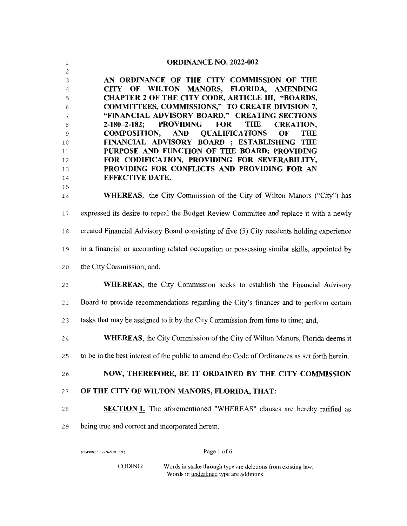## 1 **ORDINANCE NO. 2022-002**

3 AN **ORDINANCE OF THE CITY COMMISSION OF THE CITY OF WILTON MANORS, FLORIDA, AMENDING CHAPTER 2 OF THE CITY CODE, ARTICLE III, "BOARDS, COMMITTEES, COMMISSIONS," TO CREATE DIVISION 7, "FINANCIAL ADVISORY BOARD," CREATING SECTIONS 2-180-2-182; PROVIDING FOR THE CREATION, COMPOSITION, AND QUALIFICATIONS OF THE FINANCIAL ADVISORY BOARD : ESTABLISHING THE PURPOSE AND FUNCTION OF THE BOARD; PROVIDING FOR CODIFICATION, PROVIDING FOR SEVERABILITY, PROVIDING FOR CONFLICTS AND PROVIDING FOR AN EFFECTIVE DATE.** 

16 **WHEREAS,** the City Commission of the City of Wilton Manors ("City'') has 17 expressed its desire to repeal the Budget Review Committee and replace it with a newly 18 created Financial Advisory Board consisting of five (5) City residents holding experience 19 in a fmancial or accounting related occupation or possessing similar skills, appointed by 20 the City Commission; and, 21 **WHEREAS,** the City Commission seeks to establish the Financial Advisory

22 Board to provide recommendations regarding the City's fmances and to perform certain

2 3 tasks that may be assigned to it by the City Commission from time to time; and,

24 **WHEREAS,** the City Commission of the City of Wilton Manors, Florida deems it

2 5 to be in the best interest of the public to amend the Code of Ordinances as set forth herein.

2 6 **NOW, THEREFORE, BE IT ORDAINED BY THE CITY COMMISSION** 

- 27 OF THE CITY OF WILTON MANORS, FLORIDA, THAT:
- 28 **SECTION 1.** The aforementioned "WHEREAS" clauses are hereby ratified as
- 29 being true and correct and incorporated herein.

{00490827.7 2976·9201291}

2

15

Page 1 of 6

CODING: Words in strike through type are deletions from existing law; Words in underlined type are additions.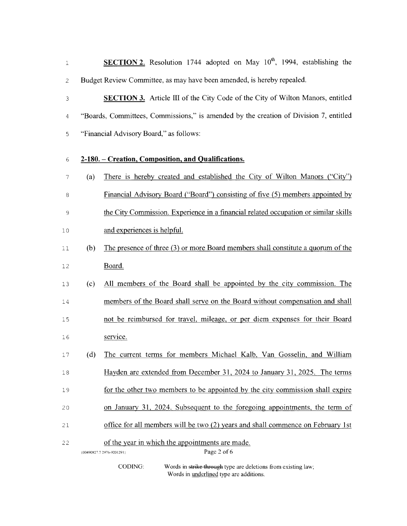1 **SECTION 2.** Resolution 1744 adopted on May 10<sup>th</sup>, 1994, establishing the 2 Budget Review Committee, as may have been amended, is hereby repealed.

<sup>3</sup>**SECTION** 3. Article ill of the City Code of the City of Wilton Manors, entitled 4 "Boards, Committees, Commissions," is amended by the creation of Division 7, entitled 5 "Financial Advisory Board," as follows:

## 6 **2-180.- Creation, Composition, and Qualifications.**

- <sup>7</sup>(a) There is hereby created and established the City of Wilton Manors ("City") 8 Financial Advisory Board ("Board") consisting of five (5) members appointed by 9 the City Commission. Experience in a financial related occupation or similar skills
- 10 and experiences is helpful.
- 11 (b) The presence of three (3) or more Board members shall constitute a quorum of the 12 Board.
- 13 (c) All members of the Board shall be appointed by the city commission. The 14 members of the Board shall serve on the Board without compensation and shall 1 5 not be reimbursed for travel, mileage, or per diem expenses for their Board 16 service.
- 1 7 (d) The current terms for members Michael Kalb, Van Gosselin, and William 18 Hayden are extended from December 31, 2024 to January 31, 2025. The terms
- 19 for the other two members to be appointed by the city commission shall expire
- 20 on January 31, 2024. Subsequent to the foregoing appointments, the term of
- 21 office for all members will be two (2) years and shall commence on February 1st

22 of the year in which the appointments are made.

{00490827.7 2976-92012911

Page 2 of 6

CODING: Words in strike through type are deletions from existing law; Words in underlined type are additions.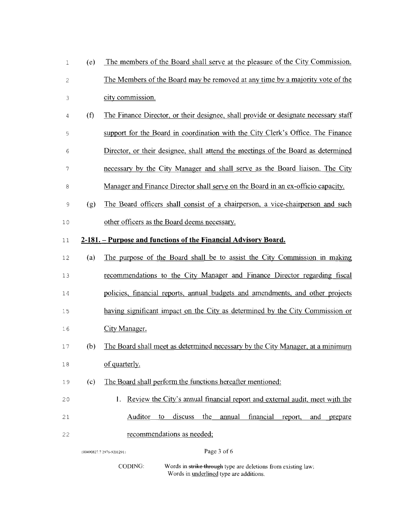| 1              | (e)                                                             | The members of the Board shall serve at the pleasure of the City Commission.        |  |  |
|----------------|-----------------------------------------------------------------|-------------------------------------------------------------------------------------|--|--|
| 2              |                                                                 | The Members of the Board may be removed at any time by a majority vote of the       |  |  |
| 3              |                                                                 | city commission.                                                                    |  |  |
| 4              | (f)                                                             | The Finance Director, or their designee, shall provide or designate necessary staff |  |  |
| 5              |                                                                 | support for the Board in coordination with the City Clerk's Office. The Finance     |  |  |
| 6              |                                                                 | Director, or their designee, shall attend the meetings of the Board as determined   |  |  |
| 7              |                                                                 | necessary by the City Manager and shall serve as the Board liaison. The City        |  |  |
| 8              |                                                                 | Manager and Finance Director shall serve on the Board in an ex-officio capacity.    |  |  |
| $\overline{9}$ | (g)                                                             | The Board officers shall consist of a chairperson, a vice-chairperson and such      |  |  |
| 10             |                                                                 | other officers as the Board deems necessary.                                        |  |  |
| 11             | 2-181. – Purpose and functions of the Financial Advisory Board. |                                                                                     |  |  |
| 12             | (a)                                                             | The purpose of the Board shall be to assist the City Commission in making           |  |  |
| 13             |                                                                 | recommendations to the City Manager and Finance Director regarding fiscal           |  |  |
| 14             |                                                                 | policies, financial reports, annual budgets and amendments, and other projects      |  |  |
| 15             |                                                                 | having significant impact on the City as determined by the City Commission or       |  |  |
| 16             |                                                                 | City Manager.                                                                       |  |  |
| 17             | (b)                                                             | The Board shall meet as determined necessary by the City Manager, at a minimum      |  |  |
| 18             |                                                                 | of quarterly.                                                                       |  |  |
| 19             | (c)                                                             | The Board shall perform the functions hereafter mentioned:                          |  |  |
| 20             |                                                                 | Review the City's annual financial report and external audit, meet with the<br>1.   |  |  |
| 21             |                                                                 | financial<br>discuss<br>the<br>annual<br>report,<br>and<br>Auditor<br>to<br>prepare |  |  |
| 22             |                                                                 | recommendations as needed;                                                          |  |  |
|                | Page 3 of 6<br>{00490827.7 2976-9201291}                        |                                                                                     |  |  |

CODING: Words in strike through type are deletions from existing law;

Words in underlined type are additions.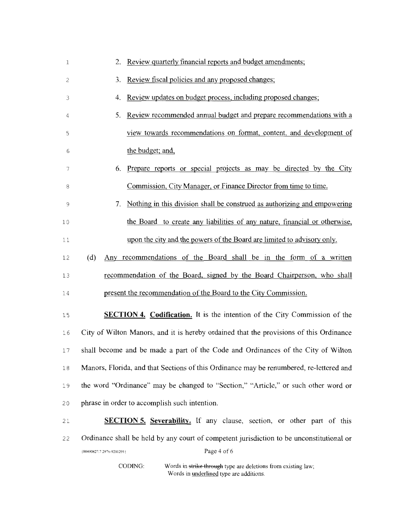| 1  | Review quarterly financial reports and budget amendments;<br>2.                          |  |  |
|----|------------------------------------------------------------------------------------------|--|--|
| 2  | Review fiscal policies and any proposed changes;<br>3.                                   |  |  |
| 3  | Review updates on budget process, including proposed changes;<br>4.                      |  |  |
| 4  | Review recommended annual budget and prepare recommendations with a<br>5.                |  |  |
| 5  | view towards recommendations on format, content, and development of                      |  |  |
| 6  | the budget; and,                                                                         |  |  |
| 7  | Prepare reports or special projects as may be directed by the City<br>6.                 |  |  |
| 8  | Commission, City Manager, or Finance Director from time to time.                         |  |  |
| 9  | Nothing in this division shall be construed as authorizing and empowering<br>7.          |  |  |
| 10 | the Board to create any liabilities of any nature, financial or otherwise,               |  |  |
| 11 | upon the city and the powers of the Board are limited to advisory only.                  |  |  |
| 12 | Any recommendations of the Board shall be in the form of a written<br>(d)                |  |  |
| 13 | recommendation of the Board, signed by the Board Chairperson, who shall                  |  |  |
| 14 | present the recommendation of the Board to the City Commission.                          |  |  |
| 15 | <b>SECTION 4. Codification.</b> It is the intention of the City Commission of the        |  |  |
| 16 | City of Wilton Manors, and it is hereby ordained that the provisions of this Ordinance   |  |  |
| 17 | shall become and be made a part of the Code and Ordinances of the City of Wilton         |  |  |
| 18 | Manors, Florida, and that Sections of this Ordinance may be renumbered, re-lettered and  |  |  |
| 19 | the word "Ordinance" may be changed to "Section," "Article," or such other word or       |  |  |
| 20 | phrase in order to accomplish such intention.                                            |  |  |
| 21 | <b>SECTION 5.</b> Severability. If any clause, section, or other part of this            |  |  |
| 22 | Ordinance shall be held by any court of competent jurisdiction to be unconstitutional or |  |  |
|    | Page 4 of 6<br>{00490827.7 2976-9201291}                                                 |  |  |

CODING:

Words in strike through type are deletions from existing law; Words in **underlined** type are additions.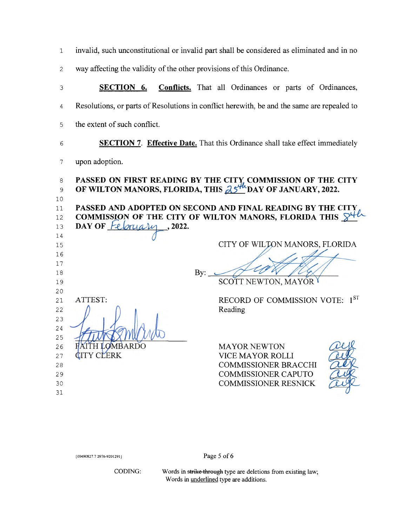1 invalid, such unconstitutional or invalid part shall be considered as eliminated and in no

2 way affecting the validity of the other provisions of this Ordinance.

3 **SECTION 6. Conflicts.** That all Ordinances or parts of Ordinances, 4 Resolutions, or parts of Resolutions in conflict herewith, be and the same are repealed to

5 the extent of such conflict.

## 6 **SECTION 7. Effective Date.** That this Ordinance shall take effect immediately

7 upon adoption.

| 8  |                        | PASSED ON FIRST READING BY THE CITY COMMISSION OF THE CITY                 |
|----|------------------------|----------------------------------------------------------------------------|
| 9  |                        | OF WILTON MANORS, FLORIDA, THIS $25^{4h}$ DAY OF JANUARY, 2022.            |
| 10 |                        |                                                                            |
| 11 |                        | PASSED AND ADOPTED ON SECOND AND FINAL READING BY THE CITY                 |
| 12 |                        | COMMISSION OF THE CITY OF WILTON MANORS, FLORIDA THIS $\mathbb{S}^{4\ell}$ |
| 13 | DAY OF February, 2022. |                                                                            |
| 14 |                        |                                                                            |
| 15 |                        | CITY OF WILTON MANORS, FLORIDA                                             |
| 16 |                        |                                                                            |
| 17 |                        |                                                                            |
| 18 |                        | By:                                                                        |
| 19 |                        | SCOTT NEWTON, MAYOR Y                                                      |
| 20 |                        |                                                                            |
| 21 | ATTEST:                | RECORD OF COMMISSION VOTE: 1ST                                             |
| 22 |                        | Reading                                                                    |
| 23 |                        |                                                                            |
| 24 |                        |                                                                            |
| 25 |                        |                                                                            |
| 26 | FAITH LOMBARDO         | <b>MAYOR NEWTON</b>                                                        |
| 27 | <b>CITY CLERK</b>      | <b>VICE MAYOR ROLLI</b>                                                    |
| 28 |                        | <b>COMMISSIONER BRACCHI</b>                                                |
| 29 |                        | <b>COMMISSIONER CAPUTO</b>                                                 |
| 30 |                        | <b>COMMISSIONER RESNICK</b>                                                |
| 31 |                        |                                                                            |

{00490827.7 2976-9201291}

Page 5 of 6

CODING:

Words in strike through type are deletions from existing law; Words in underlined type are additions.